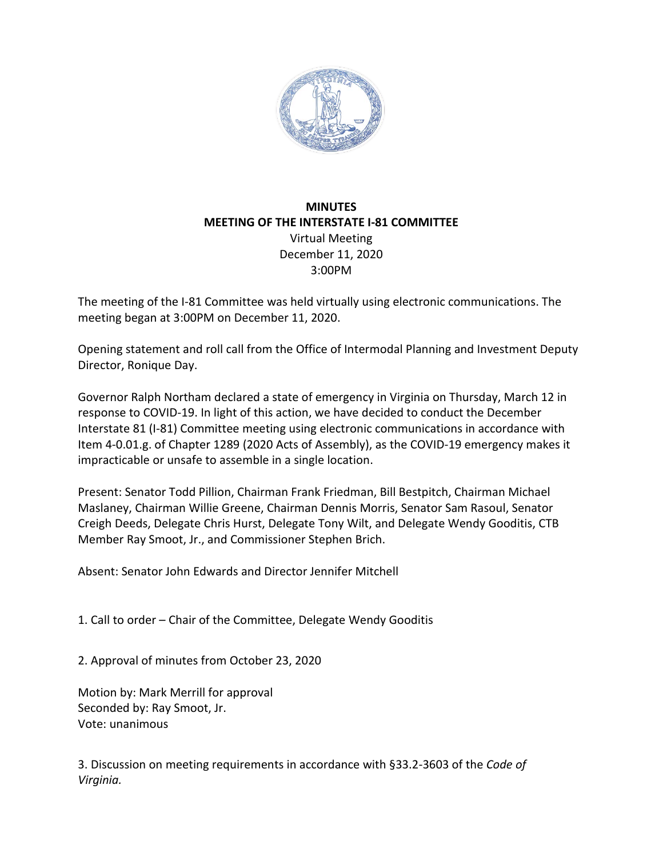

## **MINUTES MEETING OF THE INTERSTATE I-81 COMMITTEE** Virtual Meeting December 11, 2020 3:00PM

The meeting of the I-81 Committee was held virtually using electronic communications. The meeting began at 3:00PM on December 11, 2020.

Opening statement and roll call from the Office of Intermodal Planning and Investment Deputy Director, Ronique Day.

Governor Ralph Northam declared a state of emergency in Virginia on Thursday, March 12 in response to COVID-19. In light of this action, we have decided to conduct the December Interstate 81 (I-81) Committee meeting using electronic communications in accordance with Item 4-0.01.g. of Chapter 1289 (2020 Acts of Assembly), as the COVID-19 emergency makes it impracticable or unsafe to assemble in a single location.

Present: Senator Todd Pillion, Chairman Frank Friedman, Bill Bestpitch, Chairman Michael Maslaney, Chairman Willie Greene, Chairman Dennis Morris, Senator Sam Rasoul, Senator Creigh Deeds, Delegate Chris Hurst, Delegate Tony Wilt, and Delegate Wendy Gooditis, CTB Member Ray Smoot, Jr., and Commissioner Stephen Brich.

Absent: Senator John Edwards and Director Jennifer Mitchell

1. Call to order – Chair of the Committee, Delegate Wendy Gooditis

2. Approval of minutes from October 23, 2020

Motion by: Mark Merrill for approval Seconded by: Ray Smoot, Jr. Vote: unanimous

3. Discussion on meeting requirements in accordance with §33.2-3603 of the *Code of Virginia.*